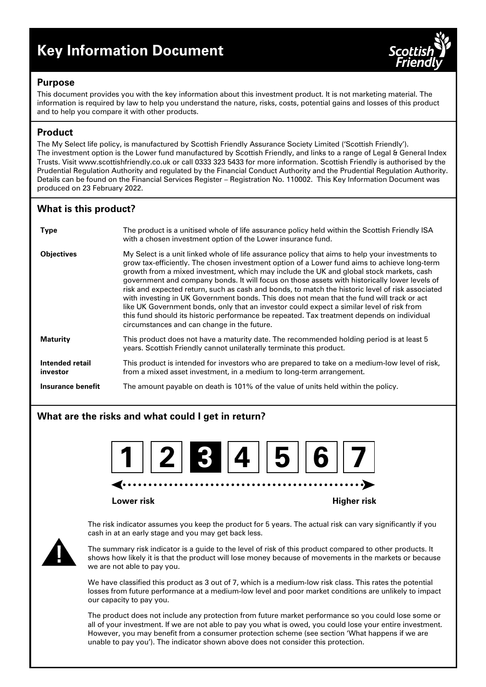# **Key Information Document**



## **Purpose**

This document provides you with the key information about this investment product. It is not marketing material. The information is required by law to help you understand the nature, risks, costs, potential gains and losses of this product and to help you compare it with other products.

# **Product**

The My Select life policy, is manufactured by Scottish Friendly Assurance Society Limited ('Scottish Friendly'). The investment option is the Lower fund manufactured by Scottish Friendly, and links to a range of Legal & General Index Trusts. Visit www.scottishfriendly.co.uk or call 0333 323 5433 for more information. Scottish Friendly is authorised by the Prudential Regulation Authority and regulated by the Financial Conduct Authority and the Prudential Regulation Authority. Details can be found on the Financial Services Register – Registration No. 110002. This Key Information Document was produced on 23 February 2022.

# **What is this product?**

| <b>Type</b>                 | The product is a unitised whole of life assurance policy held within the Scottish Friendly ISA<br>with a chosen investment option of the Lower insurance fund.                                                                                                                                                                                                                                                                                                                                                                                                                                                                                                                                                                                                                                                                         |
|-----------------------------|----------------------------------------------------------------------------------------------------------------------------------------------------------------------------------------------------------------------------------------------------------------------------------------------------------------------------------------------------------------------------------------------------------------------------------------------------------------------------------------------------------------------------------------------------------------------------------------------------------------------------------------------------------------------------------------------------------------------------------------------------------------------------------------------------------------------------------------|
| <b>Objectives</b>           | My Select is a unit linked whole of life assurance policy that aims to help your investments to<br>grow tax-efficiently. The chosen investment option of a Lower fund aims to achieve long-term<br>growth from a mixed investment, which may include the UK and global stock markets, cash<br>government and company bonds. It will focus on those assets with historically lower levels of<br>risk and expected return, such as cash and bonds, to match the historic level of risk associated<br>with investing in UK Government bonds. This does not mean that the fund will track or act<br>like UK Government bonds, only that an investor could expect a similar level of risk from<br>this fund should its historic performance be repeated. Tax treatment depends on individual<br>circumstances and can change in the future. |
| <b>Maturity</b>             | This product does not have a maturity date. The recommended holding period is at least 5<br>years. Scottish Friendly cannot unilaterally terminate this product.                                                                                                                                                                                                                                                                                                                                                                                                                                                                                                                                                                                                                                                                       |
| Intended retail<br>investor | This product is intended for investors who are prepared to take on a medium-low level of risk,<br>from a mixed asset investment, in a medium to long-term arrangement.                                                                                                                                                                                                                                                                                                                                                                                                                                                                                                                                                                                                                                                                 |
| Insurance benefit           | The amount payable on death is 101% of the value of units held within the policy.                                                                                                                                                                                                                                                                                                                                                                                                                                                                                                                                                                                                                                                                                                                                                      |

# **What are the risks and what could I get in return?**



**Lower risk Higher risk**

The risk indicator assumes you keep the product for 5 years. The actual risk can vary significantly if you cash in at an early stage and you may get back less.



The summary risk indicator is a guide to the level of risk of this product compared to other products. It shows how likely it is that the product will lose money because of movements in the markets or because we are not able to pay you.

We have classified this product as 3 out of 7, which is a medium-low risk class. This rates the potential losses from future performance at a medium-low level and poor market conditions are unlikely to impact our capacity to pay you.

The product does not include any protection from future market performance so you could lose some or all of your investment. If we are not able to pay you what is owed, you could lose your entire investment. However, you may benefit from a consumer protection scheme (see section 'What happens if we are unable to pay you'). The indicator shown above does not consider this protection.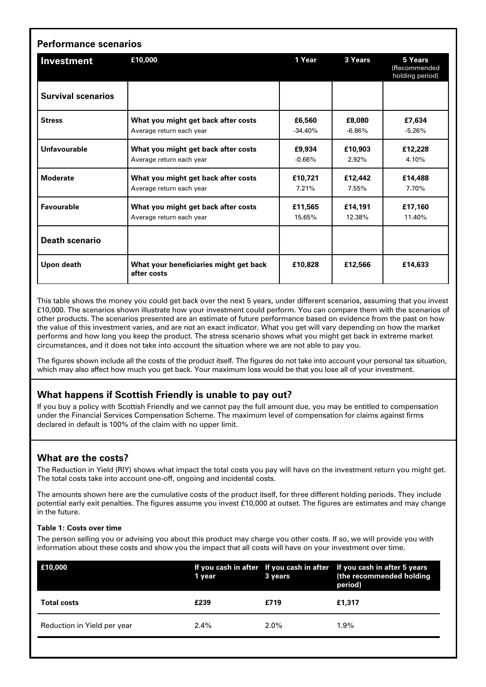| Investment                | £10,000                                               | 1 Year    | 3 Years   | 5 Years<br>(Recommended<br>holding period) |
|---------------------------|-------------------------------------------------------|-----------|-----------|--------------------------------------------|
| <b>Survival scenarios</b> |                                                       |           |           |                                            |
| <b>Stress</b>             | What you might get back after costs                   | £6,560    | £8,080    | £7,634                                     |
|                           | Average return each year                              | $-34.40%$ | $-6.86\%$ | $-5.26%$                                   |
| Unfavourable              | What you might get back after costs                   | £9,934    | £10.903   | £12,228                                    |
|                           | Average return each year                              | $-0.66%$  | 2.92%     | 4.10%                                      |
| <b>Moderate</b>           | What you might get back after costs                   | £10,721   | £12,442   | £14,488                                    |
|                           | Average return each year                              | 7.21%     | 7.55%     | 7.70%                                      |
| <b>Favourable</b>         | What you might get back after costs                   | £11.565   | £14,191   | £17,160                                    |
|                           | Average return each year                              | 15.65%    | 12.38%    | 11.40%                                     |
| <b>Death scenario</b>     |                                                       |           |           |                                            |
| Upon death                | What your beneficiaries might get back<br>after costs | £10.828   | £12,566   | £14,633                                    |

This table shows the money you could get back over the next 5 years, under different scenarios, assuming that you invest £10,000. The scenarios shown illustrate how your investment could perform. You can compare them with the scenarios of other products. The scenarios presented are an estimate of future performance based on evidence from the past on how the value of this investment varies, and are not an exact indicator. What you get will vary depending on how the market performs and how long you keep the product. The stress scenario shows what you might get back in extreme market circumstances, and it does not take into account the situation where we are not able to pay you.

The figures shown include all the costs of the product itself. The figures do not take into account your personal tax situation, which may also affect how much you get back. Your maximum loss would be that you lose all of your investment.

# **What happens if Scottish Friendly is unable to pay out?**

If you buy a policy with Scottish Friendly and we cannot pay the full amount due, you may be entitled to compensation under the Financial Services Compensation Scheme. The maximum level of compensation for claims against firms declared in default is 100% of the claim with no upper limit.

# **What are the costs?**

The Reduction in Yield (RIY) shows what impact the total costs you pay will have on the investment return you might get. The total costs take into account one-off, ongoing and incidental costs.

The amounts shown here are the cumulative costs of the product itself, for three different holding periods. They include potential early exit penalties. The figures assume you invest £10,000 at outset. The figures are estimates and may change in the future.

#### **Table 1: Costs over time**

The person selling you or advising you about this product may charge you other costs. If so, we will provide you with information about these costs and show you the impact that all costs will have on your investment over time.

| E10,000                     | 1 year  | 3 years | If you cash in after If you cash in after If you cash in after 5 years<br>(the recommended holding<br>period) |
|-----------------------------|---------|---------|---------------------------------------------------------------------------------------------------------------|
| <b>Total costs</b>          | £239    | £719    | £1.317                                                                                                        |
| Reduction in Yield per year | $2.4\%$ | $2.0\%$ | $1.9\%$                                                                                                       |